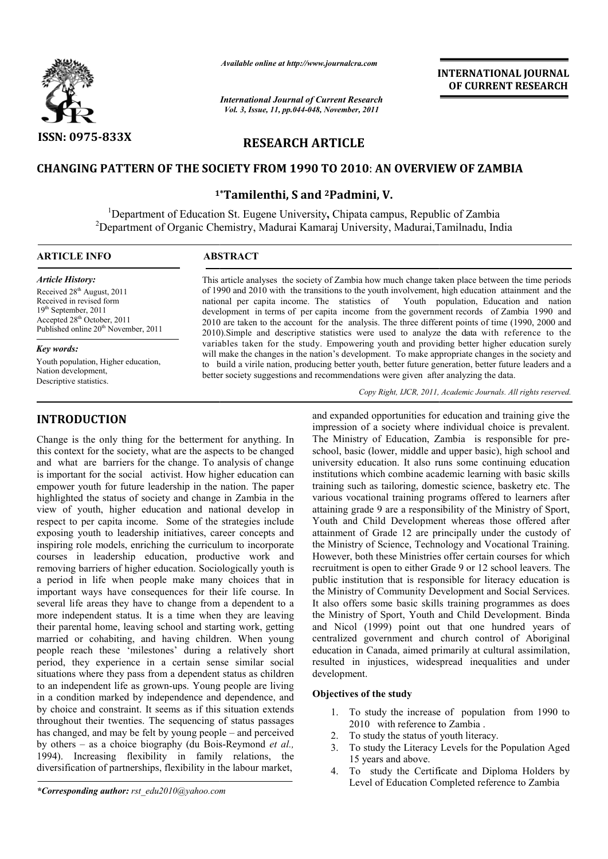

*Available online at http://www.journalcra.com*

*International Journal of Current Research Vol. 3, Issue, 11, pp.044-048, November, 2011*

# **INTERNATIONAL INTERNATIONAL JOURNAL OF CURRENT RESEARCH**

# **RESEARCH ARTICLE**

# **CHANGING PATTERN OF THE SOCIETY FROM 199 1990 TO 2010**: **AN OVERVIEW OF ZAMBI AN ZAMBIA**

# **1\* 1\*Tamilenthi, S and 2Padmini, V.**

<sup>1</sup>Department of Education St. Eugene University, Chipata campus, Republic of Zambia 2 Department of Organic Chemistry, Madurai Kamaraj University, Madurai,Tamilnadu, India  $\overline{a}$ 

# **ARTICLE INFO** ABSTRACT

*Article History:* Received 28<sup>th</sup> August, 2011 Received in revised form 19th September, 2011 Accepted 28<sup>th</sup> October, 2011 Published online 20<sup>th</sup> November, 2011

*Key words:*

Youth population, Higher education, Nation development, Descriptive statistics.

# **INTRODUCTION**

Change is the only thing for the betterment for anything. In this context for the society, what are the aspects to be changed and what are barriers for the change. To analysis of change is important for the social activist. How higher education can empower youth for future leadership in the nation. The paper highlighted the status of society and change in Zambia in the view of youth, higher education and national develop in respect to per capita income. Some of the strategies include exposing youth to leadership initiatives, career concepts and inspiring role models, enriching the curriculum to incorporate courses in leadership education, productive work and removing barriers of higher education. Sociologically youth is a period in life when people make many choices that in important ways have consequences for their life course. In several life areas they have to change from a dependent to a more independent status. It is a time when they are leaving their parental home, leaving school and starting work, getting married or cohabiting, and having children. When young several life areas they have to change from a dependent to a more independent status. It is a time when they are leaving their parental home, leaving school and starting work, getting married or cohabiting, and having chil period, they experience in a certain sense similar social situations where they pass from a dependent status as children to an independent life as grown-ups. Young people are living in a condition marked by independence and dependence, and by choice and constraint. It seems as if this situation extends throughout their twenties. The sequencing of status passages has changed, and may be felt by young people – and perceived by others – as a choice biography (du Bois-Reymond *et al.*, 1994). Increasing flexibility in family relations, the diversification of partnerships, flexibility in the labour market, endent life as grown-ups. Young people are living<br>on marked by independence and dependence, and<br>nd constraint. It seems as if this situation extends<br>their twenties. The sequencing of status passages<br>l, and may be felt by y

of 1990 and 2010 with the transitions to the youth involvement, high education attainment and the national per capita income. The statistics of development in terms of per capita income from the government records of Zambia 1990 and 2010 are taken to the account for the analysis. The three different points of time (1990, 2000 and 2010).Simple and descrip descriptive statistics were used to analyze variables taken for the study. Empowering youth and providing better higher education surely variables taken for the study. Empowering youth and providing better higher education surely will make the changes in the nation's development. To make appropriate changes in the society and to build a virile nation, producing better youth, better future generation, better future leaders and a to build a virile nation, producing better youth, better future generation, better future better society suggestions and recommendations were given after analyzing the data. Youth population, Education and nation istry, Madurai Kamaraj University, Madurai, Tamilnadu, India<br> **AACT**<br>
cle analyses the society of Zambia how much change taken place between the time periods<br>
and 2010 with the transitions to the youth involvement, high ed

This article analyses the society of Zambia how much change taken place between the time periods

Copy Right, IJCR, 2011, Academic Journals. All rights reserved.

and expanded opportunities for education and carrieg is the stellar<br>in the independent of any interssion of a society where individual choice is prevalent.<br>y, what are the aspects to be changed school, basic (lower, middl impression of a society where individual choice is prevalent. and expanded opportunities for education and training give the impression of a society where individual choice is prevalent.<br>The Ministry of Education, Zambia is responsible for preschool, basic (lower, middle and upper basic), high school and university education. It also runs some continuing education institutions which combine academic learning with basic skills training such as tailoring, domestic science, basketry etc. The various vocational training programs offered to learners after attaining grade 9 are a responsibility of the Ministry of Sport, Youth and Child Development whereas those offered after attainment of Grade 12 are principally under the custody of the Ministry of Science, Technology and Vocational Training. However, both these Ministries offer certain courses for which recruitment is open to either Grade 9 or 12 school leavers. The public institution that is responsible for literacy education is the Ministry of Community Development and Social Services. It also offers some basic skills training programmes as does the Ministry of Sport, Youth and Child Development. Binda and Nicol (1999) point out that one hundred years of centralized government and church control of Aboriginal education in Canada, aimed primarily at cultural assimilation, resulted in injustices, widespread inequalities and under development. school, basic (lower, middle and upper basic), high school and<br>university education. It also runs some continuing education<br>institutions which combine academic learning with basic skills<br>training such as tailoring, domesti Nicol (1999) point out that one hundred years of alized government and church control of Aboriginal<br>ation in Canada, aimed primarily at cultural assimilation,<br>ted in injustices, widespread inequalities and under<br>opment.<br>**c** 

# **Objectives of the study**

- 1. To study the increase of population from 1990 to 2010 with reference to Zambia .
- 2. To study the status of youth literacy.
- 3. To study the Literacy Levels for the Population Aged 15 years and above.
- 4. To study the Certific Certificate and Diploma Holders by Level of Education Completed reference to Zambia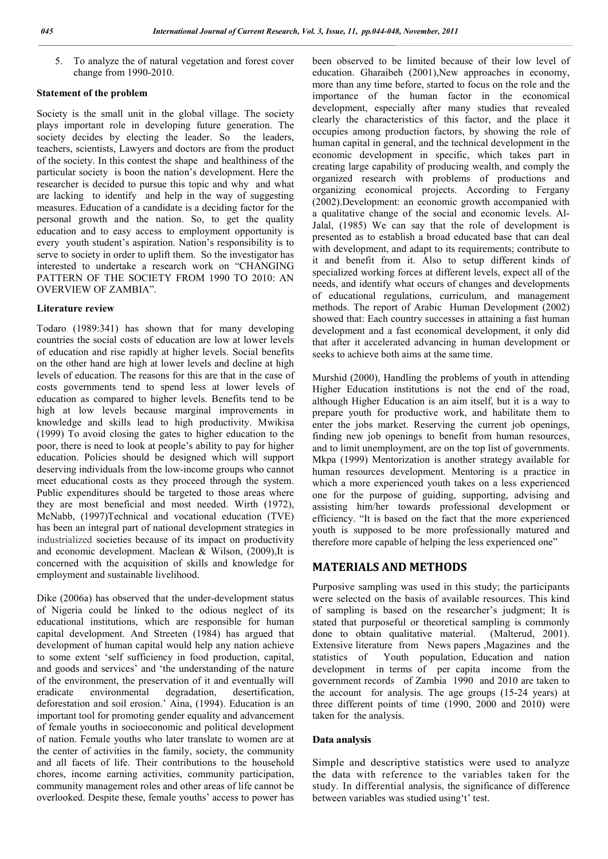5. To analyze the of natural vegetation and forest cover change from 1990-2010.

## **Statement of the problem**

Society is the small unit in the global village. The society plays important role in developing future generation. The society decides by electing the leader. So the leaders, teachers, scientists, Lawyers and doctors are from the product of the society. In this contest the shape and healthiness of the particular society is boon the nation's development. Here the researcher is decided to pursue this topic and why and what are lacking to identify and help in the way of suggesting measures. Education of a candidate is a deciding factor for the personal growth and the nation. So, to get the quality education and to easy access to employment opportunity is every youth student's aspiration. Nation's responsibility is to serve to society in order to uplift them. So the investigator has interested to undertake a research work on "CHANGING PATTERN OF THE SOCIETY FROM 1990 TO 2010: AN OVERVIEW OF ZAMBIA".

#### **Literature review**

Todaro (1989:341) has shown that for many developing countries the social costs of education are low at lower levels of education and rise rapidly at higher levels. Social benefits on the other hand are high at lower levels and decline at high levels of education. The reasons for this are that in the case of costs governments tend to spend less at lower levels of education as compared to higher levels. Benefits tend to be high at low levels because marginal improvements in knowledge and skills lead to high productivity. Mwikisa (1999) To avoid closing the gates to higher education to the poor, there is need to look at people's ability to pay for higher education. Policies should be designed which will support deserving individuals from the low-income groups who cannot meet educational costs as they proceed through the system. Public expenditures should be targeted to those areas where they are most beneficial and most needed. Wirth (1972), McNabb, (1997)Technical and vocational education (TVE) has been an integral part of national development strategies in industrialized societies because of its impact on productivity and economic development. Maclean & Wilson, (2009),It is concerned with the acquisition of skills and knowledge for employment and sustainable livelihood.

Dike (2006a) has observed that the under-development status of Nigeria could be linked to the odious neglect of its educational institutions, which are responsible for human capital development. And Streeten (1984) has argued that development of human capital would help any nation achieve to some extent 'self sufficiency in food production, capital, and goods and services' and 'the understanding of the nature of the environment, the preservation of it and eventually will eradicate environmental degradation, desertification, deforestation and soil erosion.' Aina, (1994). Education is an important tool for promoting gender equality and advancement of female youths in socioeconomic and political development of nation. Female youths who later translate to women are at the center of activities in the family, society, the community and all facets of life. Their contributions to the household chores, income earning activities, community participation, community management roles and other areas of life cannot be overlooked. Despite these, female youths' access to power has

been observed to be limited because of their low level of education. Gharaibeh (2001),New approaches in economy, more than any time before, started to focus on the role and the importance of the human factor in the economical development, especially after many studies that revealed clearly the characteristics of this factor, and the place it occupies among production factors, by showing the role of human capital in general, and the technical development in the economic development in specific, which takes part in creating large capability of producing wealth, and comply the organized research with problems of productions and organizing economical projects. According to Fergany (2002).Development: an economic growth accompanied with a qualitative change of the social and economic levels. Al-Jalal, (1985) We can say that the role of development is presented as to establish a broad educated base that can deal with development, and adapt to its requirements; contribute to it and benefit from it. Also to setup different kinds of specialized working forces at different levels, expect all of the needs, and identify what occurs of changes and developments of educational regulations, curriculum, and management methods. The report of Arabic Human Development (2002) showed that: Each country successes in attaining a fast human development and a fast economical development, it only did that after it accelerated advancing in human development or seeks to achieve both aims at the same time.

Murshid (2000), Handling the problems of youth in attending Higher Education institutions is not the end of the road, although Higher Education is an aim itself, but it is a way to prepare youth for productive work, and habilitate them to enter the jobs market. Reserving the current job openings, finding new job openings to benefit from human resources, and to limit unemployment, are on the top list of governments. Mkpa (1999) Mentorization is another strategy available for human resources development. Mentoring is a practice in which a more experienced youth takes on a less experienced one for the purpose of guiding, supporting, advising and assisting him/her towards professional development or efficiency. "It is based on the fact that the more experienced youth is supposed to be more professionally matured and therefore more capable of helping the less experienced one"

# **MATERIALS AND METHODS**

Purposive sampling was used in this study; the participants were selected on the basis of available resources. This kind of sampling is based on the researcher's judgment; It is stated that purposeful or theoretical sampling is commonly done to obtain qualitative material. (Malterud, 2001). Extensive literature from News papers ,Magazines and the statistics of Youth population, Education and nation development in terms of per capita income from the government records of Zambia 1990 and 2010 are taken to the account for analysis. The age groups (15-24 years) at three different points of time (1990, 2000 and 2010) were taken for the analysis.

### **Data analysis**

Simple and descriptive statistics were used to analyze the data with reference to the variables taken for the study. In differential analysis, the significance of difference between variables was studied using't' test.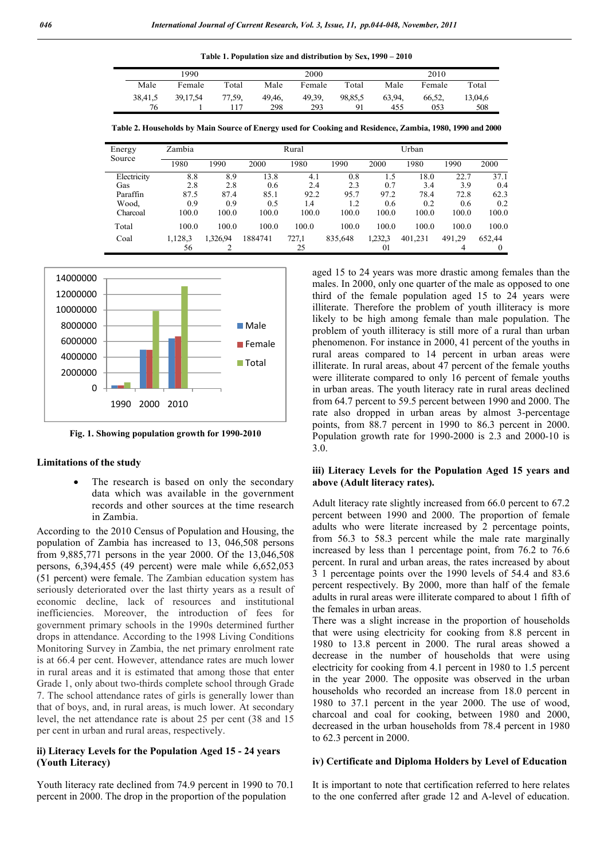| 1990    |          |        | 2000   |        |         | 2010  |        |         |  |
|---------|----------|--------|--------|--------|---------|-------|--------|---------|--|
| Male    | Female   | Total  | Male   | Female | Total   | Male  | Female | Total   |  |
| 38,41,5 | 39.17.54 | 77,59, | 49.46. | 49.39. | 98,85,5 | 63.94 | 66,52. | 13,04,6 |  |
| 76      |          | 117    | 298    | 293    | 91      | 455   | 053    | 508     |  |

**Table 2. Households by Main Source of Energy used for Cooking and Residence, Zambia, 1980, 1990 and 2000**

| Energy      | Zambia  | Rural   |         |       |         | Urban   |         |        |        |
|-------------|---------|---------|---------|-------|---------|---------|---------|--------|--------|
| Source      | 1980    | 1990    | 2000    | 1980  | 1990    | 2000    | 1980    | 1990   | 2000   |
| Electricity | 8.8     | 8.9     | 13.8    | 4.1   | 0.8     | 1.5     | 18.0    | 22.7   | 37.1   |
| Gas         | 2.8     | 2.8     | 0.6     | 2.4   | 2.3     | 0.7     | 3.4     | 3.9    | 0.4    |
| Paraffin    | 87.5    | 87.4    | 85.1    | 92.2  | 95.7    | 97.2    | 78.4    | 72.8   | 62.3   |
| Wood.       | 0.9     | 0.9     | 0.5     | 1.4   | 1.2     | 0.6     | 0.2     | 0.6    | 0.2    |
| Charcoal    | 100.0   | 100.0   | 100.0   | 100.0 | 100.0   | 100.0   | 100.0   | 100.0  | 100.0  |
| Total       | 100.0   | 100.0   | 100.0   | 100.0 | 100.0   | 100.0   | 100.0   | 100.0  | 100.0  |
| Coal        | 1,128,3 | .326,94 | 1884741 | 727,1 | 835,648 | 1,232,3 | 401.231 | 491.29 | 652,44 |
|             | 56      | ↑       |         | 25    |         | 01      |         | 4      |        |



**Fig. 1. Showing population growth for 1990-2010**

### **Limitations of the study**

 The research is based on only the secondary data which was available in the government records and other sources at the time research in Zambia.

According to the 2010 Census of Population and Housing, the population of Zambia has increased to 13, 046,508 persons from 9,885,771 persons in the year 2000. Of the 13,046,508 persons, 6,394,455 (49 percent) were male while 6,652,053 (51 percent) were female. The Zambian education system has seriously deteriorated over the last thirty years as a result of economic decline, lack of resources and institutional inefficiencies. Moreover, the introduction of fees for government primary schools in the 1990s determined further drops in attendance. According to the 1998 Living Conditions Monitoring Survey in Zambia, the net primary enrolment rate is at 66.4 per cent. However, attendance rates are much lower in rural areas and it is estimated that among those that enter Grade 1, only about two-thirds complete school through Grade 7. The school attendance rates of girls is generally lower than that of boys, and, in rural areas, is much lower. At secondary level, the net attendance rate is about 25 per cent (38 and 15 per cent in urban and rural areas, respectively.

# **ii) Literacy Levels for the Population Aged 15 - 24 years (Youth Literacy)**

Youth literacy rate declined from 74.9 percent in 1990 to 70.1 percent in 2000. The drop in the proportion of the population

aged 15 to 24 years was more drastic among females than the males. In 2000, only one quarter of the male as opposed to one third of the female population aged 15 to 24 years were illiterate. Therefore the problem of youth illiteracy is more likely to be high among female than male population. The problem of youth illiteracy is still more of a rural than urban phenomenon. For instance in 2000, 41 percent of the youths in rural areas compared to 14 percent in urban areas were illiterate. In rural areas, about 47 percent of the female youths were illiterate compared to only 16 percent of female youths in urban areas. The youth literacy rate in rural areas declined from 64.7 percent to 59.5 percent between 1990 and 2000. The rate also dropped in urban areas by almost 3-percentage points, from 88.7 percent in 1990 to 86.3 percent in 2000. Population growth rate for 1990-2000 is 2.3 and 2000-10 is 3.0.

## **iii) Literacy Levels for the Population Aged 15 years and above (Adult literacy rates).**

Adult literacy rate slightly increased from 66.0 percent to 67.2 percent between 1990 and 2000. The proportion of female adults who were literate increased by 2 percentage points, from 56.3 to 58.3 percent while the male rate marginally increased by less than 1 percentage point, from 76.2 to 76.6 percent. In rural and urban areas, the rates increased by about 3 1 percentage points over the 1990 levels of 54.4 and 83.6 percent respectively. By 2000, more than half of the female adults in rural areas were illiterate compared to about 1 fifth of the females in urban areas.

There was a slight increase in the proportion of households that were using electricity for cooking from 8.8 percent in 1980 to 13.8 percent in 2000. The rural areas showed a decrease in the number of households that were using electricity for cooking from 4.1 percent in 1980 to 1.5 percent in the year 2000. The opposite was observed in the urban households who recorded an increase from 18.0 percent in 1980 to 37.1 percent in the year 2000. The use of wood, charcoal and coal for cooking, between 1980 and 2000, decreased in the urban households from 78.4 percent in 1980 to 62.3 percent in 2000.

## **iv) Certificate and Diploma Holders by Level of Education**

It is important to note that certification referred to here relates to the one conferred after grade 12 and A-level of education.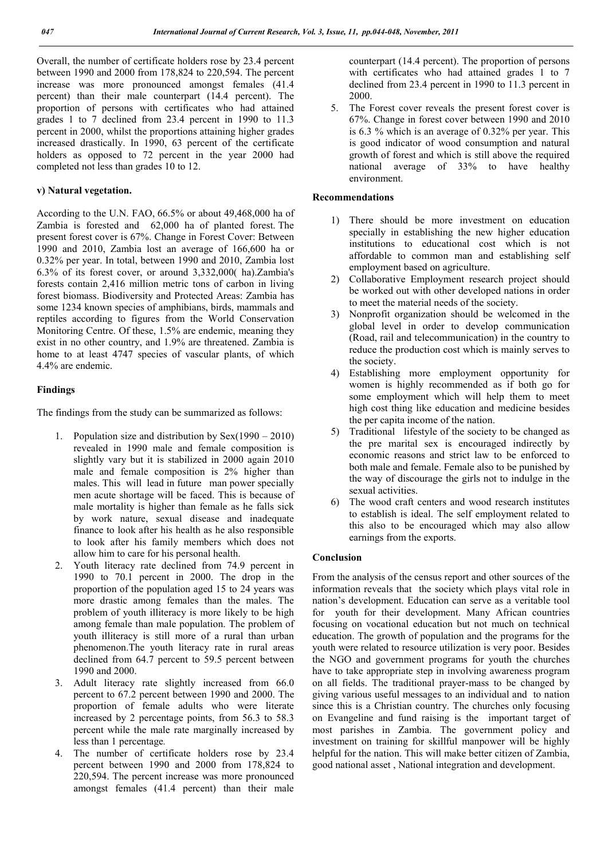Overall, the number of certificate holders rose by 23.4 percent between 1990 and 2000 from 178,824 to 220,594. The percent increase was more pronounced amongst females (41.4 percent) than their male counterpart (14.4 percent). The proportion of persons with certificates who had attained grades 1 to 7 declined from 23.4 percent in 1990 to 11.3 percent in 2000, whilst the proportions attaining higher grades increased drastically. In 1990, 63 percent of the certificate holders as opposed to 72 percent in the year 2000 had completed not less than grades 10 to 12.

# **v) Natural vegetation.**

According to the U.N. FAO, 66.5% or about 49,468,000 ha of Zambia is forested and 62,000 ha of planted forest. The present forest cover is 67%. Change in Forest Cover: Between 1990 and 2010, Zambia lost an average of 166,600 ha or 0.32% per year. In total, between 1990 and 2010, Zambia lost 6.3% of its forest cover, or around 3,332,000( ha).Zambia's forests contain 2,416 million metric tons of carbon in living forest biomass. Biodiversity and Protected Areas: Zambia has some 1234 known species of amphibians, birds, mammals and reptiles according to figures from the World Conservation Monitoring Centre. Of these, 1.5% are endemic, meaning they exist in no other country, and 1.9% are threatened. Zambia is home to at least 4747 species of vascular plants, of which 4.4% are endemic.

# **Findings**

The findings from the study can be summarized as follows:

- 1. Population size and distribution by Sex(1990 2010) revealed in 1990 male and female composition is slightly vary but it is stabilized in 2000 again 2010 male and female composition is 2% higher than males. This will lead in future man power specially men acute shortage will be faced. This is because of male mortality is higher than female as he falls sick by work nature, sexual disease and inadequate finance to look after his health as he also responsible to look after his family members which does not allow him to care for his personal health.
- 2. Youth literacy rate declined from 74.9 percent in 1990 to 70.1 percent in 2000. The drop in the proportion of the population aged 15 to 24 years was more drastic among females than the males. The problem of youth illiteracy is more likely to be high among female than male population. The problem of youth illiteracy is still more of a rural than urban phenomenon.The youth literacy rate in rural areas declined from 64.7 percent to 59.5 percent between 1990 and 2000.
- 3. Adult literacy rate slightly increased from 66.0 percent to 67.2 percent between 1990 and 2000. The proportion of female adults who were literate increased by 2 percentage points, from 56.3 to 58.3 percent while the male rate marginally increased by less than 1 percentage*.*
- 4. The number of certificate holders rose by 23.4 percent between 1990 and 2000 from 178,824 to 220,594. The percent increase was more pronounced amongst females (41.4 percent) than their male

counterpart (14.4 percent). The proportion of persons with certificates who had attained grades 1 to 7 declined from 23.4 percent in 1990 to 11.3 percent in 2000.

5. The Forest cover reveals the present forest cover is 67%. Change in forest cover between 1990 and 2010 is 6.3 % which is an average of 0.32% per year. This is good indicator of wood consumption and natural growth of forest and which is still above the required national average of 33% to have healthy environment.

# **Recommendations**

- 1) There should be more investment on education specially in establishing the new higher education institutions to educational cost which is not affordable to common man and establishing self employment based on agriculture.
- 2) Collaborative Employment research project should be worked out with other developed nations in order to meet the material needs of the society.
- 3) Nonprofit organization should be welcomed in the global level in order to develop communication (Road, rail and telecommunication) in the country to reduce the production cost which is mainly serves to the society.
- 4) Establishing more employment opportunity for women is highly recommended as if both go for some employment which will help them to meet high cost thing like education and medicine besides the per capita income of the nation.
- 5) Traditional lifestyle of the society to be changed as the pre marital sex is encouraged indirectly by economic reasons and strict law to be enforced to both male and female. Female also to be punished by the way of discourage the girls not to indulge in the sexual activities.
- 6) The wood craft centers and wood research institutes to establish is ideal. The self employment related to this also to be encouraged which may also allow earnings from the exports.

# **Conclusion**

From the analysis of the census report and other sources of the information reveals that the society which plays vital role in nation's development. Education can serve as a veritable tool for youth for their development. Many African countries focusing on vocational education but not much on technical education. The growth of population and the programs for the youth were related to resource utilization is very poor. Besides the NGO and government programs for youth the churches have to take appropriate step in involving awareness program on all fields. The traditional prayer-mass to be changed by giving various useful messages to an individual and to nation since this is a Christian country. The churches only focusing on Evangeline and fund raising is the important target of most parishes in Zambia. The government policy and investment on training for skillful manpower will be highly helpful for the nation. This will make better citizen of Zambia, good national asset , National integration and development.